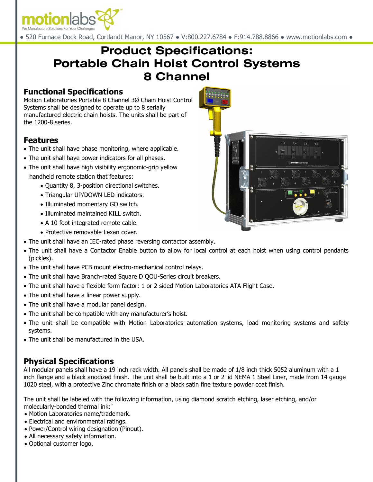

● 520 Furnace Dock Road, Cortlandt Manor, NY 10567 ● V:800.227.6784 ● F:914.788.8866 ● www.motionlabs.com ●

# **Product Specifications: Portable Chain Hoist Control Systems 8 Channel**

#### **Functional Specifications**

Motion Laboratories Portable 8 Channel 3Ø Chain Hoist Control Systems shall be designed to operate up to 8 serially manufactured electric chain hoists. The units shall be part of the 1200-8 series.

#### **Features**

- The unit shall have phase monitoring, where applicable.
- The unit shall have power indicators for all phases.
- The unit shall have high visibility ergonomic-grip yellow handheld remote station that features:
	- Quantity 8, 3-position directional switches.
	- Triangular UP/DOWN LED indicators.
	- Illuminated momentary GO switch.
	- Illuminated maintained KILL switch.
	- A 10 foot integrated remote cable.
	- Protective removable Lexan cover.
- The unit shall have an IEC-rated phase reversing contactor assembly.
- The unit shall have a Contactor Enable button to allow for local control at each hoist when using control pendants (pickles).
- The unit shall have PCB mount electro-mechanical control relays.
- The unit shall have Branch-rated Square D QOU-Series circuit breakers.
- The unit shall have a flexible form factor: 1 or 2 sided Motion Laboratories ATA Flight Case.
- The unit shall have a linear power supply.
- The unit shall have a modular panel design.
- The unit shall be compatible with any manufacturer's hoist.
- The unit shall be compatible with Motion Laboratories automation systems, load monitoring systems and safety systems.
- The unit shall be manufactured in the USA.

## **Physical Specifications**

All modular panels shall have a 19 inch rack width. All panels shall be made of 1/8 inch thick 5052 aluminum with a 1 inch flange and a black anodized finish. The unit shall be built into a 1 or 2 lid NEMA 1 Steel Liner, made from 14 gauge 1020 steel, with a protective Zinc chromate finish or a black satin fine texture powder coat finish.

The unit shall be labeled with the following information, using diamond scratch etching, laser etching, and/or molecularly-bonded thermal ink:`

- Motion Laboratories name/trademark.
- Electrical and environmental ratings.
- Power/Control wiring designation (Pinout).
- All necessary safety information.
- Optional customer logo.